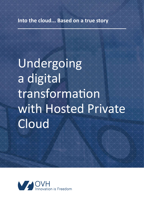# Undergoing a digital transformation with Hosted Private **Cloud**

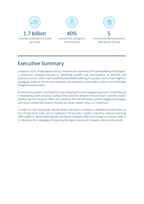

### Executive Summary

Created in 2014, Arcade Beauty Group combines the expertise of Arcade Marketing and Bioplan: a production company focused on delivering samples and mini-products to perfume and cosmetics brands. With a well-established worldwide offering of samples, mono-dose fragrance packaging, make-up and skincare products, the company is now ready to take on the challenges of digital transformation.

As the beauty market is shifting from mass sampling to a more targeted approach, Arcade Beauty is developing smart sampling solutions that meet the demand of mainstream cosmetic brands. Additionally, the company offers new solutions that will effectively combine digital technologies with direct sample distribution, thereby aiming at a better return on investment.

In order to meet those goals, Arcade Beauty decided to undergo a complete transformation at the infrastructure level, and to implement M3 by Infor: a global enterprise resource planning (ERP) platform. Michał Maciejewski and Patrick Zawadzki were kind enough to sit down with us to talk about the challenges of migrating the legacy systems of European sites into the cloud.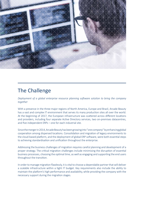

#### The Challenge

*Deployment of a global enterprise resource planning software solution to bring the company together* 

With a presence in the three major regions of North America, Europe and Brazil, Arcade Beauty has a vast and complex IT environment that serves its many production sites all over the world. At the beginning of 2017, the European infrastructure was scattered across different locations and providers, including four separate Active Directory services, two on-premises datacentres, and five independent ERPs – one for each industrial site.

Since the merger in 2014, Arcade Beauty has been growing into "*one company*" by enhancing global cooperation among dispersed locations. Consolidation and migration of legacy environments to the cloud-based platform, and the deployment of global ERP software, were both essential steps to achieving standardisation and unification throughout the enterprise.

Addressing the business challenges of migration requires careful planning and development of a proper strategy. The critical migration challenges include minimising the disruption of essential business processes, choosing the optimal time, as well as engaging and supporting the end users throughout the transition.

In order to manage migration flawlessly, it is vital to choose a dependable partner that will deliver a scalable infrastructure within a tight IT budget. Key requirements also include the ability to maintain the platform's high performance and availability, while providing the company with the necessary support during the migration stages.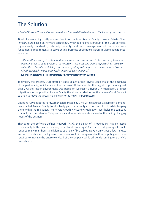## The Solution

*A hosted Private Cloud, enhanced with the software-defined network at the heart of the company*

Tired of maintaining costly on-premises infrastructure, Arcade Beauty chose a Private Cloud infrastructure based on VMware technology, which is a hallmark product of the OVH portfolio. High-capacity bandwidth, reliability, security, and easy management of resources were fundamental requirements to serve critical business applications across multiple geographical locations.

*"It's worth choosing Private Cloud when we expect the service to be ahead of business needs in order to quickly release the necessary resources and create opportunities. We also value the reliability, scalability, and simplicity of infrastructure management with Private Cloud, especially in geographically-dispersed environments."*

**Michał Maciejewski, IT Infrastructure Administrator for Europe**

To simplify the process, OVH offered Arcade Beauty a free Private Cloud trial at the beginning of the partnership, which enabled the company's IT team to plan the migration process in great detail. As the legacy environment was based on Microsoft's Hyper-V virtualisation, a direct migration was not possible. Arcade Beauty therefore decided to use the Veeam Cloud Connect solution to move the virtual machines into the new IT infrastructure.

Choosing fully dedicated hardware that is managed by OVH, with resources available on-demand, has enabled Arcade Beauty to effectively plan for capacity and to control costs while keeping them within the IT budget. The Private Cloud's VMware virtualisation layer helps the company to simplify and accelerate IT deployments and to remain one step ahead of the rapidly changing needs of the business.

Thanks to the software-defined network (NSX), the agility of IT operations has increased considerably. In the past, expanding the network, creating VLANs, or even deploying a firewall, required many man-hours and kilometres of dark fibre cables. Now, it only takes a few minutes and a couple of clicks. The high-end components of XL+ hosts guarantee the computing resources required to manage the entire workload of the company, while efficiently running tens of VMs on each host.